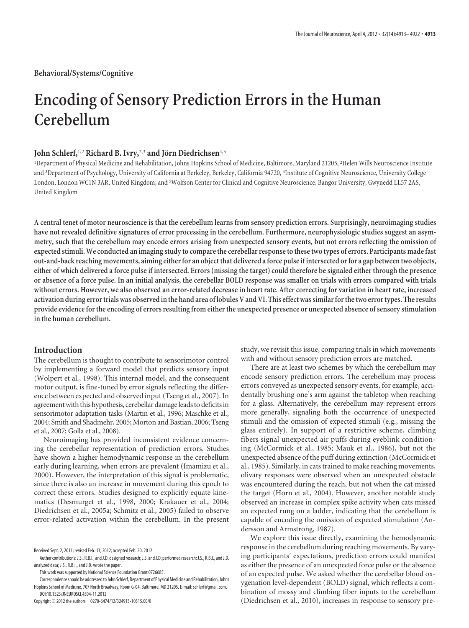# **Encoding of Sensory Prediction Errors in the Human Cerebellum**

# **John Schlerf**,<sup>1,2</sup> Richard B. Ivry,<sup>2,3</sup> and Jörn Diedrichsen<sup>4,5</sup>

<sup>1</sup>Department of Physical Medicine and Rehabilitation, Johns Hopkins School of Medicine, Baltimore, Maryland 21205, <sup>2</sup>Helen Wills Neuroscience Institute and <sup>3</sup>Department of Psychology, University of California at Berkeley, Berkeley, California 94720, <sup>4</sup>Institute of Cognitive Neuroscience, University College London, London WC1N 3AR, United Kingdom, and <sup>5</sup>Wolfson Center for Clinical and Cognitive Neuroscience, Bangor University, Gwynedd LL57 2AS, United Kingdom

**A central tenet of motor neuroscience is that the cerebellum learns from sensory prediction errors. Surprisingly, neuroimaging studies have not revealed definitive signatures of error processing in the cerebellum. Furthermore, neurophysiologic studies suggest an asymmetry, such that the cerebellum may encode errors arising from unexpected sensory events, but not errors reflecting the omission of expected stimuli. We conducted an imaging study to compare the cerebellar response to these two types of errors. Participants made fast out-and-back reaching movements, aiming either for an object that delivered a force pulse if intersected or for a gap between two objects, either of which delivered a force pulse if intersected. Errors (missing the target) could therefore be signaled either through the presence or absence of a force pulse. In an initial analysis, the cerebellar BOLD response was smaller on trials with errors compared with trials without errors. However, we also observed an error-related decrease in heart rate. After correcting for variation in heart rate, increased activation during errortrials was observed inthe hand area of lobules V and VI. This effect was similar forthetwo errortypes. The results provide evidence for the encoding of errors resulting from either the unexpected presence or unexpected absence of sensory stimulation in the human cerebellum.**

# **Introduction**

The cerebellum is thought to contribute to sensorimotor control by implementing a forward model that predicts sensory input (Wolpert et al., 1998). This internal model, and the consequent motor output, is fine-tuned by error signals reflecting the difference between expected and observed input (Tseng et al., 2007). In agreement with this hypothesis, cerebellar damage leads to deficits in sensorimotor adaptation tasks (Martin et al., 1996; Maschke et al., 2004; Smith and Shadmehr, 2005; Morton and Bastian, 2006; Tseng et al., 2007; Golla et al., 2008).

Neuroimaging has provided inconsistent evidence concerning the cerebellar representation of prediction errors. Studies have shown a higher hemodynamic response in the cerebellum early during learning, when errors are prevalent (Imamizu et al., 2000). However, the interpretation of this signal is problematic, since there is also an increase in movement during this epoch to correct these errors. Studies designed to explicitly equate kinematics (Desmurget et al., 1998, 2000; Krakauer et al., 2004; Diedrichsen et al., 2005a; Schmitz et al., 2005) failed to observe error-related activation within the cerebellum. In the present

This work was supported by National Science Foundation Grant 0726685.

Copyright © 2012 the authors 0270-6474/12/324913-10\$15.00/0

study, we revisit this issue, comparing trials in which movements with and without sensory prediction errors are matched.

There are at least two schemes by which the cerebellum may encode sensory prediction errors. The cerebellum may process errors conveyed as unexpected sensory events, for example, accidentally brushing one's arm against the tabletop when reaching for a glass. Alternatively, the cerebellum may represent errors more generally, signaling both the occurrence of unexpected stimuli and the omission of expected stimuli (e.g., missing the glass entirely). In support of a restrictive scheme, climbing fibers signal unexpected air puffs during eyeblink conditioning (McCormick et al., 1985; Mauk et al., 1986), but not the unexpected absence of the puff during extinction (McCormick et al., 1985). Similarly, in cats trained to make reaching movements, olivary responses were observed when an unexpected obstacle was encountered during the reach, but not when the cat missed the target (Horn et al., 2004). However, another notable study observed an increase in complex spike activity when cats missed an expected rung on a ladder, indicating that the cerebellum is capable of encoding the omission of expected stimulation (Andersson and Armstrong, 1987).

We explore this issue directly, examining the hemodynamic response in the cerebellum during reaching movements. By varying participants' expectations, prediction errors could manifest as either the presence of an unexpected force pulse or the absence of an expected pulse. We asked whether the cerebellar blood oxygenation level-dependent (BOLD) signal, which reflects a combination of mossy and climbing fiber inputs to the cerebellum (Diedrichsen et al., 2010), increases in response to sensory pre-

Received Sept. 2, 2011; revised Feb. 13, 2012; accepted Feb. 20, 2012.

Author contributions: J.S., R.B.I., and J.D. designed research; J.S. and J.D. performed research; J.S., R.B.I., and J.D. analyzed data; J.S., R.B.I., and J.D. wrote the paper.

Correspondence should be addressed to John Schlerf, Department of Physical Medicine and Rehabilitation, Johns Hopkins School of Medicine, 707 North Broadway, Room G-04, Baltimore, MD 21205. E-mail: schlerf@gmail.com. DOI:10.1523/JNEUROSCI.4504-11.2012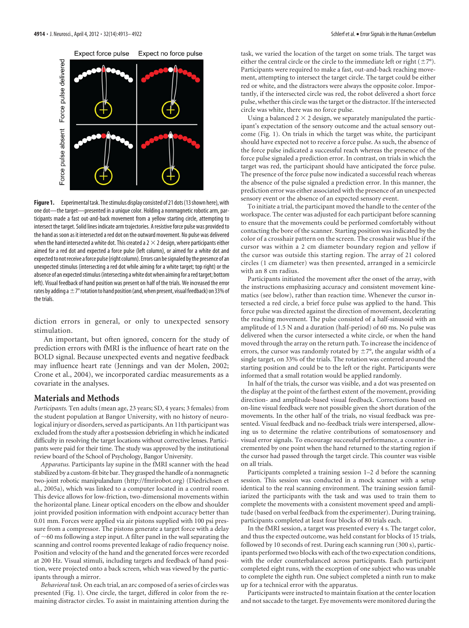

Figure 1. Experimental task. The stimulus display consisted of 21 dots (13 shown here), with one dot—the target—presented in a unique color. Holding a nonmagnetic robotic arm, participants made a fast out-and-back movement from a yellow starting circle, attempting to intersect the target. Solid lines indicate arm trajectories. A resistive force pulse was provided to the hand as soon as it intersected a red dot on the outward movement. No pulse was delivered when the hand intersected a white dot. This created a  $2 \times 2$  design, where participants either aimed for a red dot and expected a force pulse (left column), or aimed for a white dot and expected to not receive a force pulse (right column). Errors can be signaled by the presence of an unexpected stimulus (intersecting a red dot while aiming for a white target; top right) or the absence of an expected stimulus (intersecting a white dot when aiming for a red target; bottom left). Visual feedback of hand position was present on half of the trials. We increased the error rates by adding a  $\pm$  7° rotation to hand position (and, when present, visual feedback) on 33% of the trials.

diction errors in general, or only to unexpected sensory stimulation.

An important, but often ignored, concern for the study of prediction errors with fMRI is the influence of heart rate on the BOLD signal. Because unexpected events and negative feedback may influence heart rate (Jennings and van der Molen, 2002; Crone et al., 2004), we incorporated cardiac measurements as a covariate in the analyses.

# **Materials and Methods**

*Participants.* Ten adults (mean age, 23 years; SD, 4 years; 3 females) from the student population at Bangor University, with no history of neurological injury or disorders, served as participants. An 11th participant was excluded from the study after a postsession debriefing in which he indicated difficulty in resolving the target locations without corrective lenses. Participants were paid for their time. The study was approved by the institutional review board of the School of Psychology, Bangor University.

*Apparatus.* Participants lay supine in the fMRI scanner with the head stabilized by a custom-fit bite bar. They grasped the handle of a nonmagnetic two-joint robotic manipulandum (http://fmrirobot.org) (Diedrichsen et al., 2005a), which was linked to a computer located in a control room. This device allows for low-friction, two-dimensional movements within the horizontal plane. Linear optical encoders on the elbow and shoulder joint provided position information with endpoint accuracy better than 0.01 mm. Forces were applied via air pistons supplied with 100 psi pressure from a compressor. The pistons generate a target force with a delay of  $\sim$  60 ms following a step input. A filter panel in the wall separating the scanning and control rooms prevented leakage of radio frequency noise. Position and velocity of the hand and the generated forces were recorded at 200 Hz. Visual stimuli, including targets and feedback of hand position, were projected onto a back screen, which was viewed by the participants through a mirror.

*Behavioral task.* On each trial, an arc composed of a series of circles was presented (Fig. 1). One circle, the target, differed in color from the remaining distractor circles. To assist in maintaining attention during the task, we varied the location of the target on some trials. The target was either the central circle or the circle to the immediate left or right  $(\pm 7^{\circ})$ . Participants were required to make a fast, out-and-back reaching movement, attempting to intersect the target circle. The target could be either red or white, and the distractors were always the opposite color. Importantly, if the intersected circle was red, the robot delivered a short force pulse, whether this circle was the target or the distractor. If the intersected circle was white, there was no force pulse.

Using a balanced  $2 \times 2$  design, we separately manipulated the participant's expectation of the sensory outcome and the actual sensory outcome (Fig. 1). On trials in which the target was white, the participant should have expected not to receive a force pulse. As such, the absence of the force pulse indicated a successful reach whereas the presence of the force pulse signaled a prediction error. In contrast, on trials in which the target was red, the participant should have anticipated the force pulse. The presence of the force pulse now indicated a successful reach whereas the absence of the pulse signaled a prediction error. In this manner, the prediction error was either associated with the presence of an unexpected sensory event or the absence of an expected sensory event.

To initiate a trial, the participant moved the handle to the center of the workspace. The center was adjusted for each participant before scanning to ensure that the movements could be performed comfortably without contacting the bore of the scanner. Starting position was indicated by the color of a crosshair pattern on the screen. The crosshair was blue if the cursor was within a 2 cm diameter boundary region and yellow if the cursor was outside this starting region. The array of 21 colored circles (1 cm diameter) was then presented, arranged in a semicircle with an 8 cm radius.

Participants initiated the movement after the onset of the array, with the instructions emphasizing accuracy and consistent movement kinematics (see below), rather than reaction time. Whenever the cursor intersected a red circle, a brief force pulse was applied to the hand. This force pulse was directed against the direction of movement, decelerating the reaching movement. The pulse consisted of a half-sinusoid with an amplitude of 1.5 N and a duration (half-period) of 60 ms. No pulse was delivered when the cursor intersected a white circle, or when the hand moved through the array on the return path. To increase the incidence of errors, the cursor was randomly rotated by  $\pm 7^{\circ}$ , the angular width of a single target, on 33% of the trials. The rotation was centered around the starting position and could be to the left or the right. Participants were informed that a small rotation would be applied randomly.

In half of the trials, the cursor was visible, and a dot was presented on the display at the point of the farthest extent of the movement, providing direction- and amplitude-based visual feedback. Corrections based on on-line visual feedback were not possible given the short duration of the movements. In the other half of the trials, no visual feedback was presented. Visual feedback and no-feedback trials were interspersed, allowing us to determine the relative contributions of somatosensory and visual error signals. To encourage successful performance, a counter incremented by one point when the hand returned to the starting region if the cursor had passed through the target circle. This counter was visible on all trials.

Participants completed a training session 1–2 d before the scanning session. This session was conducted in a mock scanner with a setup identical to the real scanning environment. The training session familiarized the participants with the task and was used to train them to complete the movements with a consistent movement speed and amplitude (based on verbal feedback from the experimenter). During training, participants completed at least four blocks of 80 trials each.

In the fMRI session, a target was presented every 4 s. The target color, and thus the expected outcome, was held constant for blocks of 15 trials, followed by 10 seconds of rest. During each scanning run (300 s), participants performed two blocks with each of the two expectation conditions, with the order counterbalanced across participants. Each participant completed eight runs, with the exception of one subject who was unable to complete the eighth run. One subject completed a ninth run to make up for a technical error with the apparatus.

Participants were instructed to maintain fixation at the center location and not saccade to the target. Eye movements were monitored during the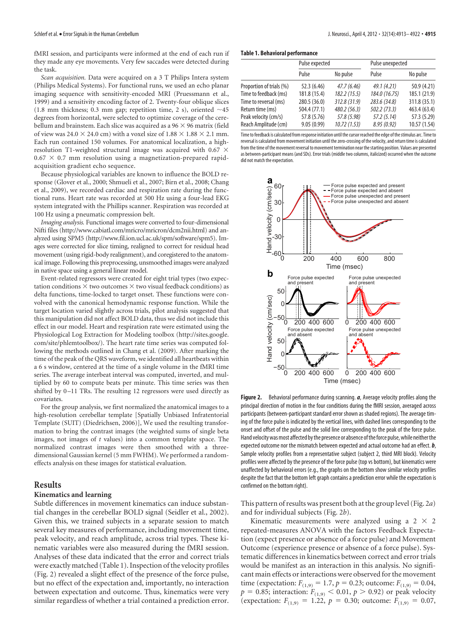fMRI session, and participants were informed at the end of each run if they made any eye movements. Very few saccades were detected during the task.

*Scan acquisition*. Data were acquired on a 3 T Philips Intera system (Philips Medical Systems). For functional runs, we used an echo planar imaging sequence with sensitivity-encoded MRI (Pruessmann et al., 1999) and a sensitivity encoding factor of 2. Twenty-four oblique slices (1.8 mm thickness; 0.3 mm gap; repetition time, 2 s), oriented  $\sim$  45 degrees from horizontal, were selected to optimize coverage of the cerebellum and brainstem. Each slice was acquired as a  $96 \times 96$  matrix (field of view was 24.0  $\times$  24.0 cm) with a voxel size of 1.88  $\times$  1.88  $\times$  2.1 mm. Each run contained 150 volumes. For anatomical localization, a highresolution T1-weighted structural image was acquired with 0.67  $\times$  $0.67 \times 0.7$  mm resolution using a magnetization-prepared rapidacquisition gradient echo sequence.

Because physiological variables are known to influence the BOLD response (Glover et al., 2000; Shmueli et al., 2007; Birn et al., 2008; Chang et al., 2009), we recorded cardiac and respiration rate during the functional runs. Heart rate was recorded at 500 Hz using a four-lead EKG system integrated with the Phillips scanner. Respiration was recorded at 100 Hz using a pneumatic compression belt.

*Imaging analysis.* Functional images were converted to four-dimensional Nifti files (http://www.cabiatl.com/mricro/mricron/dcm2nii.html) and analyzed using SPM5 (http://www.fil.ion.ucl.ac.uk/spm/software/spm5). Images were corrected for slice timing, realigned to correct for residual head movement (using rigid-body realignment), and coregistered to the anatomical image. Following this preprocessing, unsmoothed images were analyzed in native space using a general linear model.

Event-related regressors were created for eight trial types (two expectation conditions  $\times$  two outcomes  $\times$  two visual feedback conditions) as delta functions, time-locked to target onset. These functions were convolved with the canonical hemodynamic response function. While the target location varied slightly across trials, pilot analysis suggested that this manipulation did not affect BOLD data, thus we did not include this effect in our model. Heart and respiration rate were estimated using the Physiological Log Extraction for Modeling toolbox (http://sites.google. com/site/phlemtoolbox/). The heart rate time series was computed following the methods outlined in Chang et al. (2009). After marking the time of the peak of the QRS waveform, we identified all heartbeats within a 6 s window, centered at the time of a single volume in the fMRI time series. The average interbeat interval was computed, inverted, and multiplied by 60 to compute beats per minute. This time series was then shifted by 0-11 TRs. The resulting 12 regressors were used directly as covariates.

For the group analysis, we first normalized the anatomical images to a high-resolution cerebellar template [Spatially Unbiased Infratentorial Template (SUIT) (Diedrichsen, 2006)], We used the resulting transformation to bring the contrast images (the weighted sums of single beta images, not images of *t* values) into a common template space. The normalized contrast images were then smoothed with a threedimensional Gaussian kernel (5 mm FWHM). We performed a randomeffects analysis on these images for statistical evaluation.

## **Results**

# **Kinematics and learning**

Subtle differences in movement kinematics can induce substantial changes in the cerebellar BOLD signal (Seidler et al., 2002). Given this, we trained subjects in a separate session to match several key measures of performance, including movement time, peak velocity, and reach amplitude, across trial types. These kinematic variables were also measured during the fMRI session. Analyses of these data indicated that the error and correct trials were exactly matched (Table 1). Inspection of the velocity profiles (Fig. 2) revealed a slight effect of the presence of the force pulse, but no effect of the expectation and, importantly, no interaction between expectation and outcome. Thus, kinematics were very similar regardless of whether a trial contained a prediction error.

#### **Table 1. Behavioral performance**

|                          | Pulse expected |              | Pulse unexpected |              |  |  |
|--------------------------|----------------|--------------|------------------|--------------|--|--|
|                          | Pulse          | No pulse     | Pulse            | No pulse     |  |  |
| Proportion of trials (%) | 52.3 (6.46)    | 47.7(6.46)   | 49.1(4.21)       | 50.9 (4.21)  |  |  |
| Time to feedback (ms)    | 181.8 (15.4)   | 182.2(15.5)  | 184.0 (16.75)    | 185.1 (21.9) |  |  |
| Time to reversal (ms)    | 280.5 (36.0)   | 312.8 (31.9) | 283.6 (34.8)     | 311.8 (35.1) |  |  |
| Return time (ms)         | 504.4 (77.1)   | 480.2 (56.3) | 502.2 (73.3)     | 463.4 (63.4) |  |  |
| Peak velocity (cm/s)     | 57.8 (5.76)    | 57.8 (5.98)  | 57.2(5.14)       | 57.3 (5.29)  |  |  |
| Reach Amplitude (cm)     | 9.05(0.99)     | 10.72(1.53)  | 8.95(0.92)       | 10.57(1.54)  |  |  |

Time to feedback is calculated from response initiation until the cursor reached the edge of thestimulus arc. Time to reversal is calculated from movement initiation until the zero-crossing of the velocity, and return time is calculated from the time of the movement reversal to movement termination near the starting position. Values are presented as between-participant means (and SDs). Error trials (middle two columns, italicized) occurred when the outcome did not match the expectation.



**Figure 2.** Behavioral performance during scanning. *a*, Average velocity profiles along the principal direction of motion in the four conditions during the fMRI session, averaged across participants (between-participant standard error shown as shaded regions). The average timing of the force pulse is indicated by the vertical lines, with dashed lines corresponding to the onset and offset of the pulse and the solid line corresponding to the peak of the force pulse. Hand velocity was most affected by the presence or absence of the force pulse, while neither the expected outcome nor the mismatch between expected and actual outcome had an effect. *b*, Sample velocity profiles from a representative subject (subject 2, third MRI block). Velocity profiles were affected by the presence of the force pulse (top vs bottom), but kinematics were unaffected by behavioral errors (e.g., the graphs on the bottom show similar velocity profiles despite the fact that the bottom left graph contains a prediction error while the expectation is confirmed on the bottom right).

This pattern of results was present both at the group level (Fig. 2*a*) and for individual subjects (Fig. 2*b*).

Kinematic measurements were analyzed using a  $2 \times 2$ repeated-measures ANOVA with the factors Feedback Expectation (expect presence or absence of a force pulse) and Movement Outcome (experience presence or absence of a force pulse). Systematic differences in kinematics between correct and error trials would be manifest as an interaction in this analysis. No significant main effects or interactions were observed for the movement time (expectation:  $F_{(1,9)} = 1.7$ ,  $p = 0.23$ ; outcome:  $F_{(1,9)} = 0.04$ ,  $p = 0.85$ ; interaction:  $F_{(1,9)} < 0.01$ ,  $p > 0.92$ ) or peak velocity (expectation:  $F_{(1,9)} = 1.22$ ,  $p = 0.30$ ; outcome:  $F_{(1,9)} = 0.07$ ,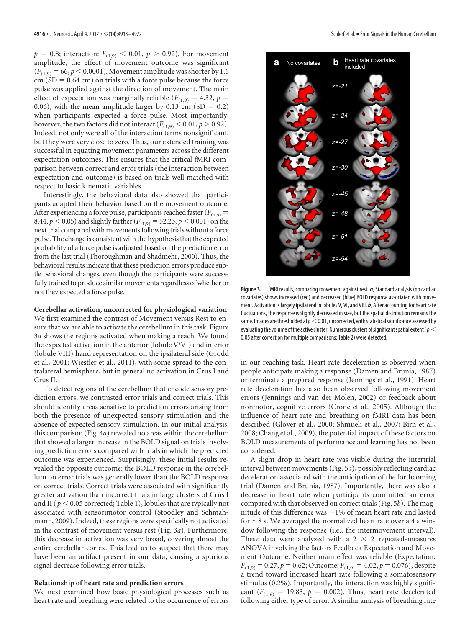$p = 0.8$ ; interaction:  $F_{(1,9)} < 0.01$ ,  $p > 0.92$ ). For movement amplitude, the effect of movement outcome was significant  $(F_{(1,9)} = 66, p \le 0.0001)$ . Movement amplitude was shorter by 1.6  $cm (SD = 0.64 cm)$  on trials with a force pulse because the force pulse was applied against the direction of movement. The main effect of expectation was marginally reliable ( $F_{(1,9)} = 4.32$ ,  $p =$ 0.06), with the mean amplitude larger by 0.13 cm (SD =  $0.2$ ) when participants expected a force pulse. Most importantly, however, the two factors did not interact  $(F_{(1,9)} < 0.01, p > 0.92)$ . Indeed, not only were all of the interaction terms nonsignificant, but they were very close to zero. Thus, our extended training was successful in equating movement parameters across the different expectation outcomes. This ensures that the critical fMRI comparison between correct and error trials (the interaction between expectation and outcome) is based on trials well matched with respect to basic kinematic variables.

Interestingly, the behavioral data also showed that participants adapted their behavior based on the movement outcome. After experiencing a force pulse, participants reached faster  $(F_{(1,9)} =$ 8.44,  $p < 0.05$ ) and slightly farther ( $F_{(1,9)} = 52.23$ ,  $p < 0.001$ ) on the next trial compared with movements following trials without a force pulse. The change is consistent with the hypothesis that the expected probability of a force pulse is adjusted based on the prediction error from the last trial (Thoroughman and Shadmehr, 2000). Thus, the behavioral results indicate that these prediction errors produce subtle behavioral changes, even though the participants were successfully trained to produce similar movements regardless of whether or not they expected a force pulse.

### **Cerebellar activation, uncorrected for physiological variation**

We first examined the contrast of Movement versus Rest to ensure that we are able to activate the cerebellum in this task. Figure 3*a* shows the regions activated when making a reach. We found the expected activation in the anterior (lobule V/VI) and inferior (lobule VIII) hand representation on the ipsilateral side (Grodd et al., 2001; Wiestler et al., 2011), with some spread to the contralateral hemisphere, but in general no activation in Crus I and Crus II.

To detect regions of the cerebellum that encode sensory prediction errors, we contrasted error trials and correct trials. This should identify areas sensitive to prediction errors arising from both the presence of unexpected sensory stimulation and the absence of expected sensory stimulation. In our initial analysis, this comparison (Fig. 4*a*) revealed no areas within the cerebellum that showed a larger increase in the BOLD signal on trials involving prediction errors compared with trials in which the predicted outcome was experienced. Surprisingly, these initial results revealed the opposite outcome: the BOLD response in the cerebellum on error trials was generally lower than the BOLD response on correct trials. Correct trials were associated with significantly greater activation than incorrect trials in large clusters of Crus I and II ( $p < 0.05$  corrected; Table 1), lobules that are typically not associated with sensorimotor control (Stoodley and Schmahmann, 2009). Indeed, these regions were specifically not activated in the contrast of movement versus rest (Fig. 3*a*). Furthermore, this decrease in activation was very broad, covering almost the entire cerebellar cortex. This lead us to suspect that there may have been an artifact present in our data, causing a spurious signal decrease following error trials.

## **Relationship of heart rate and prediction errors**

We next examined how basic physiological processes such as heart rate and breathing were related to the occurrence of errors



**Figure 3.** fMRI results, comparing movement against rest. *a*, Standard analysis (no cardiac covariates) shows increased (red) and decreased (blue) BOLD response associated with movement. Activation is largely ipsilateral in lobules V, VI, and VIII. *b*, After accounting for heart rate fluctuations, the response is slightly decreased in size, but the spatial distribution remains the same. Images are thresholded at  $p<$  0.01, uncorrected, with statistical significance assessed by evaluating the volume of the active cluster. Numerous clusters of significant spatial extent ( $p$   $<$ 0.05 after correction for multiple comparisons; Table 2) were detected.

in our reaching task. Heart rate deceleration is observed when people anticipate making a response (Damen and Brunia, 1987) or terminate a prepared response (Jennings et al., 1991). Heart rate deceleration has also been observed following movement errors (Jennings and van der Molen, 2002) or feedback about nonmotor, cognitive errors (Crone et al., 2005). Although the influence of heart rate and breathing on fMRI data has been described (Glover et al., 2000; Shmueli et al., 2007; Birn et al., 2008; Chang et al., 2009), the potential impact of these factors on BOLD measurements of performance and learning has not been considered.

A slight drop in heart rate was visible during the intertrial interval between movements (Fig. 5*a*), possibly reflecting cardiac deceleration associated with the anticipation of the forthcoming trial (Damen and Brunia, 1987). Importantly, there was also a decrease in heart rate when participants committed an error compared with that observed on correct trials (Fig. 5*b*). The magnitude of this difference was  $\sim$ 1% of mean heart rate and lasted for  $\sim$ 8 s. We averaged the normalized heart rate over a 4 s window following the response (i.e., the intermovement interval). These data were analyzed with a  $2 \times 2$  repeated-measures ANOVA involving the factors Feedback Expectation and Movement Outcome. Neither main effect was reliable (Expectation:  $F_{(1,9)} = 0.27, p = 0.62$ ; Outcome:  $F_{(1,9)} = 4.02, p = 0.076$ , despite a trend toward increased heart rate following a somatosensory stimulus (0.2%). Importantly, the interaction was highly significant  $(F_{(1,9)} = 19.83, p = 0.002)$ . Thus, heart rate decelerated following either type of error. A similar analysis of breathing rate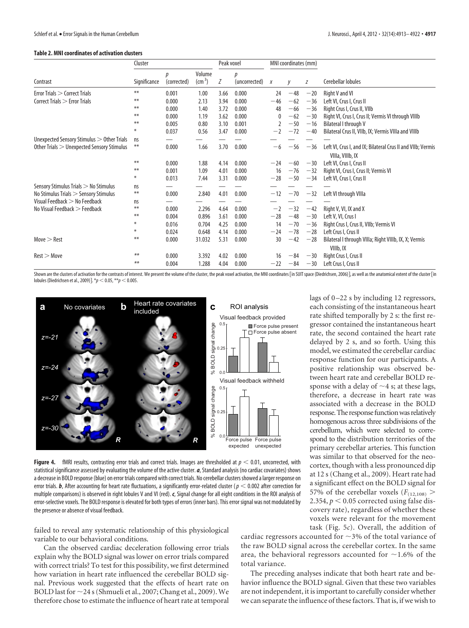### **Table 2. MNI coordinates of activation clusters**

|                                                      | Cluster      |                  | Peak voxel                |      | MNI coordinates (mm) |              |       |       |                                                                                 |
|------------------------------------------------------|--------------|------------------|---------------------------|------|----------------------|--------------|-------|-------|---------------------------------------------------------------------------------|
| Contrast                                             | Significance | D<br>(corrected) | Volume<br>$\text{cm}^3$ ) | Ζ    | D<br>(uncorrected)   | X            | y     | Ζ     | Cerebellar lobules                                                              |
| <b>Error Trials <math>&gt;</math> Correct Trials</b> | **           | 0.001            | 1.00                      | 3.66 | 0.000                | 24           | $-48$ | $-20$ | Right V and VI                                                                  |
| Correct Trials > Error Trials                        | $***$        | 0.000            | 2.13                      | 3.94 | 0.000                | $-46$        | $-62$ | $-36$ | Left VI, Crus I, Crus II                                                        |
|                                                      | $***$        | 0.000            | 1.40                      | 3.72 | 0.000                | 48           | $-66$ | $-36$ | Right Crus I, Crus II, VIIb                                                     |
|                                                      | $***$        | 0.000            | 1.19                      | 3.62 | 0.000                | $\mathbf{0}$ | $-62$ | $-30$ | Right VI, Crus I, Crus II; Vermis VI through VIIIb                              |
|                                                      | **           | 0.005            | 0.80                      | 3.10 | 0.001                |              | $-50$ | $-16$ | Bilateral I through V                                                           |
|                                                      | ⋇            | 0.037            | 0.56                      | 3.47 | 0.000                | $-2$         | $-72$ | $-40$ | Bilateral Crus II, VIIb, IX; Vermis VIIIa and VIIIb                             |
| Unexpected Sensory Stimulus $>$ Other Trials         | ns           |                  |                           |      |                      |              |       |       |                                                                                 |
| Other Trials > Unexpected Sensory Stimulus           | $***$        | 0.000            | 1.66                      | 3.70 | 0.000                | $-6$         | $-56$ | $-36$ | Left VI, Crus I, and IX; Bilateral Crus II and VIIb; Vermis<br>VIIIa, VIIIb, IX |
|                                                      | $***$        | 0.000            | 1.88                      | 4.14 | 0.000                | $-24$        | $-60$ | $-30$ | Left VI, Crus I, Crus II                                                        |
|                                                      | $***$        | 0.001            | 1.09                      | 4.01 | 0.000                | 16           | $-76$ | $-32$ | Right VI, Crus I, Crus II; Vermis VI                                            |
|                                                      | $\ast$       | 0.013            | 7.44                      | 3.31 | 0.000                | $-28$        | $-50$ | $-34$ | Left VI, Crus I, Crus II                                                        |
| Sensory Stimulus Trials > No Stimulus                | ns           |                  |                           |      |                      |              |       |       |                                                                                 |
| No Stimulus Trials > Sensory Stimulus                | $***$        | 0.000            | 2.840                     | 4.01 | 0.000                | $-12$        | $-70$ | $-32$ | Left VI through VIIIa                                                           |
| Visual Feedback $>$ No Feedback                      | <b>ns</b>    |                  |                           |      |                      |              |       |       |                                                                                 |
| No Visual Feedback $>$ Feedback                      | $***$        | 0.000            | 2.296                     | 4.64 | 0.000                | $-2$         | $-32$ | $-42$ | Right V, VI, IX and X                                                           |
|                                                      | **           | 0.004            | 0.896                     | 3.61 | 0.000                | $-28$        | $-48$ | $-30$ | Left V, VI, Crus I                                                              |
|                                                      | $\ast$       | 0.016            | 0.704                     | 4.25 | 0.000                | 14           | $-70$ | $-36$ | Right Crus I, Crus II, VIIb; Vermis VI                                          |
|                                                      | ⋇            | 0.024            | 0.648                     | 4.14 | 0.000                | $-24$        | $-78$ | $-28$ | Left Crus I, Crus II                                                            |
| Move $>$ Rest                                        | $***$        | 0.000            | 31.032                    | 5.31 | 0.000                | 30           | $-42$ | $-28$ | Bilateral I through VIIIa; Right VIIIb, IX, X; Vermis<br>VIIIb, IX              |
| $Rest$ $>$ Move                                      | $***$        | 0.000            | 3.392                     | 4.02 | 0.000                | 16           | $-84$ | $-30$ | Right Crus I, Crus II                                                           |
|                                                      | $***$        | 0.004            | 1.288                     | 4.04 | 0.000                | $-22$        | $-84$ | $-30$ | Left Crus I, Crus II                                                            |

Shown are the clusters of activation for the contrasts of interest. We present the volume of the cluster, the peak voxel activation, the MNI coordinates [in SUIT space (Diedrichsen, 2006)], as well as the anatomical extent lobules (Diedrichsen et al., 2009)<sup>7</sup>. \* $p < 0.05$ , \*\* $p < 0.005$ .



**Figure 4.** fMRI results, contrasting error trials and correct trials. Images are thresholded at  $p < 0.01$ , uncorrected, with statistical significance assessed by evaluating the volume of the active cluster. *a*, Standard analysis (no cardiac covariates) shows a decrease in BOLD response (blue) on error trials compared with correct trials. No cerebellar clusters showed a larger response on error trials. **b**, After accounting for heart rate fluctuations, a significantly error-related cluster ( $p < 0.002$  after correction for multiple comparisons) is observed in right lobules V and VI (red). *c*, Signal change for all eight conditions in the ROI analysis of error-selective voxels. The BOLD response is elevated for both types of errors (inner bars). This error signal was not modulated by the presence or absence of visual feedback.

failed to reveal any systematic relationship of this physiological variable to our behavioral conditions.

Can the observed cardiac deceleration following error trials explain why the BOLD signal was lower on error trials compared with correct trials? To test for this possibility, we first determined how variation in heart rate influenced the cerebellar BOLD signal. Previous work suggested that the effects of heart rate on BOLD last for  $\sim$  24 s (Shmueli et al., 2007; Chang et al., 2009). We therefore chose to estimate the influence of heart rate at temporal lags of 0-22 s by including 12 regressors, each consisting of the instantaneous heart rate shifted temporally by 2 s: the first regressor contained the instantaneous heart rate, the second contained the heart rate delayed by 2 s, and so forth. Using this model, we estimated the cerebellar cardiac response function for our participants. A positive relationship was observed between heart rate and cerebellar BOLD response with a delay of  $\sim$ 4 s; at these lags, therefore, a decrease in heart rate was associated with a decrease in the BOLD response. The response function was relatively homogenous across three subdivisions of the cerebellum, which were selected to correspond to the distribution territories of the primary cerebellar arteries. This function was similar to that observed for the neocortex, though with a less pronounced dip at 12 s (Chang et al., 2009). Heart rate had a significant effect on the BOLD signal for 57% of the cerebellar voxels  $(F_{(12,108)})$ 2.354,  $p < 0.05$  corrected using false discovery rate), regardless of whether these voxels were relevant for the movement task (Fig. 5*c*). Overall, the addition of

cardiac regressors accounted for  $\sim$ 3% of the total variance of the raw BOLD signal across the cerebellar cortex. In the same area, the behavioral regressors accounted for  $\sim$ 1.6% of the total variance.

The preceding analyses indicate that both heart rate and behavior influence the BOLD signal. Given that these two variables are not independent, it is important to carefully consider whether we can separate the influence of these factors. That is, if we wish to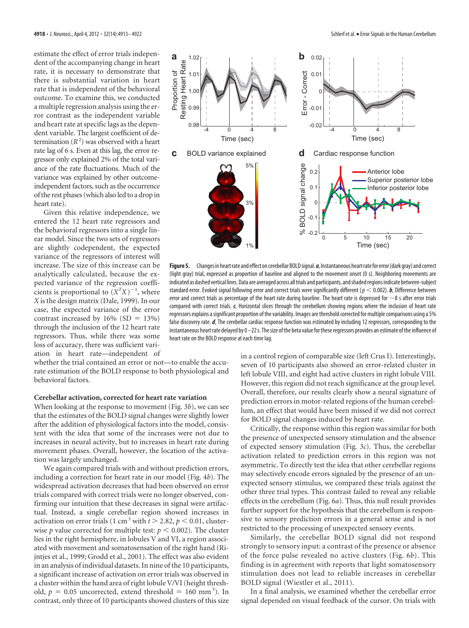estimate the effect of error trials independent of the accompanying change in heart rate, it is necessary to demonstrate that there is substantial variation in heart rate that is independent of the behavioral outcome. To examine this, we conducted a multiple regression analysis using the error contrast as the independent variable and heart rate at specific lags as the dependent variable. The largest coefficient of determination  $(R^2)$  was observed with a heart rate lag of 6 s. Even at this lag, the error regressor only explained 2% of the total variance of the rate fluctuations. Much of the variance was explained by other outcomeindependent factors, such as the occurrence of the rest phases (which also led to a drop in heart rate).

Given this relative independence, we entered the 12 heart rate regressors and the behavioral regressors into a single linear model. Since the two sets of regressors are slightly codependent, the expected variance of the regressors of interest will increase. The size of this increase can be analytically calculated, because the expected variance of the regression coefficients is proportional to  $(X^TX)^{-1}$ , where *X* is the design matrix (Dale, 1999). In our case, the expected variance of the error contrast increased by  $16\%$  (SD = 13%) through the inclusion of the 12 heart rate regressors. Thus, while there was some loss of accuracy, there was sufficient variation in heart rate—independent of

whether the trial contained an error or not—to enable the accurate estimation of the BOLD response to both physiological and behavioral factors.

## **Cerebellar activation, corrected for heart rate variation**

When looking at the response to movement (Fig. 3*b*), we can see that the estimates of the BOLD signal changes were slightly lower after the addition of physiological factors into the model, consistent with the idea that some of the increases were not due to increases in neural activity, but to increases in heart rate during movement phases. Overall, however, the location of the activation was largely unchanged.

We again compared trials with and without prediction errors, including a correction for heart rate in our model (Fig. 4*b*). The widespread activation decreases that had been observed on error trials compared with correct trials were no longer observed, confirming our intuition that these decreases in signal were artifactual. Instead, a single cerebellar region showed increases in activation on error trials (1 cm<sup>3</sup> with  $t > 2.82$ ,  $p < 0.01$ , clusterwise *p* value corrected for multiple test:  $p < 0.002$ ). The cluster lies in the right hemisphere, in lobules V and VI, a region associated with movement and somatosensation of the right hand (Rijntjes et al., 1999; Grodd et al., 2001). The effect was also evident in an analysis of individual datasets. In nine of the 10 participants, a significant increase of activation on error trials was observed in a cluster within the hand area of right lobule V/VI (height threshold,  $p = 0.05$  uncorrected, extend threshold = 160 mm<sup>3</sup>). In contrast, only three of 10 participants showed clusters of this size



**Figure5.** Changes in heartrate and effect on cerebellar BOLDsignal.*a*, Instantaneous heartratefor error(dark gray) and correct (light gray) trial, expressed as proportion of baseline and aligned to the movement onset (0 s). Neighboring movements are indicated as dashed vertical lines.Data are averaged across alltrials and participants, andshadedregions indicate between-subject standard error. Evoked signal following error and correct trials were significantly different ( $p < 0.002$ ). *b*, Difference between error and correct trials as percentage of the heart rate during baseline. The heart rate is depressed for  $\sim$ 8 s after error trials compared with correct trials. *c*, Horizontal slices through the cerebellum showing regions where the inclusion of heart rate regressors explains asignificant proportion of the variability. Images are threshold corrected for multiple comparisons using a 5% false discovery rate. *d*, The cerebellar cardiac response function was estimated by including 12 regressors, corresponding to the instantaneous heart rate delayed by 0-22 s. The size of the beta value for these regressors provides an estimate of the influence of heart rate on the BOLD response at each time lag.

in a control region of comparable size (left Crus I). Interestingly, seven of 10 participants also showed an error-related cluster in left lobule VIII, and eight had active clusters in right lobule VIII. However, this region did not reach significance at the group level. Overall, therefore, our results clearly show a neural signature of prediction errors in motor-related regions of the human cerebellum, an effect that would have been missed if we did not correct for BOLD signal changes induced by heart rate.

Critically, the response within this region was similar for both the presence of unexpected sensory stimulation and the absence of expected sensory stimulation (Fig. 3*c*). Thus, the cerebellar activation related to prediction errors in this region was not asymmetric. To directly test the idea that other cerebellar regions may selectively encode errors signaled by the presence of an unexpected sensory stimulus, we compared these trials against the other three trial types. This contrast failed to reveal any reliable effects in the cerebellum (Fig. 6*a*). Thus, this null result provides further support for the hypothesis that the cerebellum is responsive to sensory prediction errors in a general sense and is not restricted to the processing of unexpected sensory events.

Similarly, the cerebellar BOLD signal did not respond strongly to sensory input: a contrast of the presence or absence of the force pulse revealed no active clusters (Fig. 6*b*). This finding is in agreement with reports that light somatosensory stimulation does not lead to reliable increases in cerebellar BOLD signal (Wiestler et al., 2011).

In a final analysis, we examined whether the cerebellar error signal depended on visual feedback of the cursor. On trials with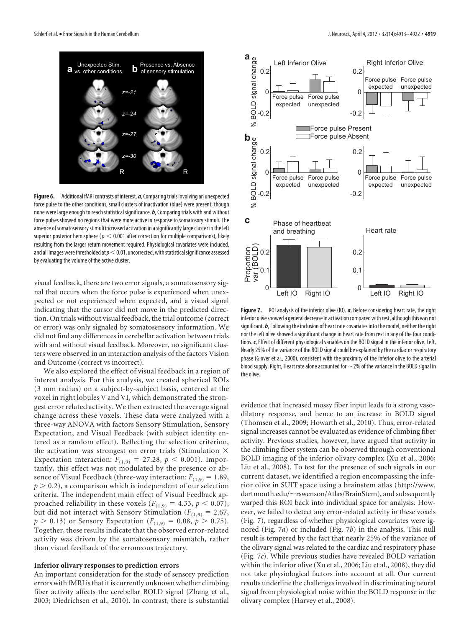

**Figure 6.** Additional fMRI contrasts of interest. *a*, Comparing trials involving an unexpected force pulse to the other conditions, small clusters of inactivation (blue) were present, though none were large enough to reach statistical significance. *b*, Comparing trials with and without force pulses showed no regions that were more active in response to somatosory stimuli. The absence of somatosensory stimuli increased activation in a significantly large cluster in the left superior posterior hemisphere ( $p < 0.001$  after correction for multiple comparisons), likely resulting from the larger return movement required. Physiological covariates were included, and all images were thresholded at  $p<$  0.01, uncorrected, with statistical significance assessed by evaluating the volume of the active cluster.

visual feedback, there are two error signals, a somatosensory signal that occurs when the force pulse is experienced when unexpected or not experienced when expected, and a visual signal indicating that the cursor did not move in the predicted direction. On trials without visual feedback, the trial outcome (correct or error) was only signaled by somatosensory information. We did not find any differences in cerebellar activation between trials with and without visual feedback. Moreover, no significant clusters were observed in an interaction analysis of the factors Vision and Outcome (correct vs incorrect).

We also explored the effect of visual feedback in a region of interest analysis. For this analysis, we created spherical ROIs (3 mm radius) on a subject-by-subject basis, centered at the voxel in right lobules V and VI, which demonstrated the strongest error related activity. We then extracted the average signal change across these voxels. These data were analyzed with a three-way ANOVA with factors Sensory Stimulation, Sensory Expectation, and Visual Feedback (with subject identity entered as a random effect). Reflecting the selection criterion, the activation was strongest on error trials (Stimulation  $\times$ Expectation interaction:  $F_{(1,9)} = 27.28, p < 0.001$ ). Importantly, this effect was not modulated by the presence or absence of Visual Feedback (three-way interaction:  $F_{(1,9)} = 1.89$ ,  $p > 0.2$ ), a comparison which is independent of our selection criteria. The independent main effect of Visual Feedback approached reliability in these voxels ( $F_{(1,9)} = 4.33$ ,  $p < 0.07$ ), but did not interact with Sensory Stimulation ( $F_{(1,9)} = 2.67$ ,  $p > 0.13$ ) or Sensory Expectation ( $F_{(1,9)} = 0.08$ ,  $p > 0.75$ ). Together, these results indicate that the observed error-related activity was driven by the somatosensory mismatch, rather than visual feedback of the erroneous trajectory.

#### **Inferior olivary responses to prediction errors**

An important consideration for the study of sensory prediction errors with fMRI is that it is currently unknown whether climbing fiber activity affects the cerebellar BOLD signal (Zhang et al., 2003; Diedrichsen et al., 2010). In contrast, there is substantial



**Figure 7.** ROI analysis of the inferior olive (IO). *a*, Before considering heart rate, the right inferior olive showed a general decrease in activation compared with rest, although this was not significant. *b*, Following the inclusion of heart rate covariates into the model, neither the right nor the left olive showed a significant change in heart rate from rest in any of the four conditions. *c*, Effect of different physiological variables on the BOLD signal in the inferior olive. Left, Nearly 25% of the variance of the BOLD signal could be explained by the cardiac or respiratory phase (Glover et al., 2000), consistent with the proximity of the inferior olive to the arterial blood supply. Right, Heart rate alone accounted for  $\sim$  2% of the variance in the BOLD signal in the olive.

evidence that increased mossy fiber input leads to a strong vasodilatory response, and hence to an increase in BOLD signal (Thomsen et al., 2009; Howarth et al., 2010). Thus, error-related signal increases cannot be evaluated as evidence of climbing fiber activity. Previous studies, however, have argued that activity in the climbing fiber system can be observed through conventional BOLD imaging of the inferior olivary complex (Xu et al., 2006; Liu et al., 2008). To test for the presence of such signals in our current dataset, we identified a region encompassing the inferior olive in SUIT space using a brainstem atlas (http://www. dartmouth.edu/~rswenson/Atlas/BrainStem), and subsequently warped this ROI back into individual space for analysis. However, we failed to detect any error-related activity in these voxels (Fig. 7), regardless of whether physiological covariates were ignored (Fig. 7*a*) or included (Fig. 7*b*) in the analysis. This null result is tempered by the fact that nearly 25% of the variance of the olivary signal was related to the cardiac and respiratory phase (Fig. 7*c*). While previous studies have revealed BOLD variation within the inferior olive (Xu et al., 2006; Liu et al., 2008), they did not take physiological factors into account at all. Our current results underline the challenges involved in discriminating neural signal from physiological noise within the BOLD response in the olivary complex (Harvey et al., 2008).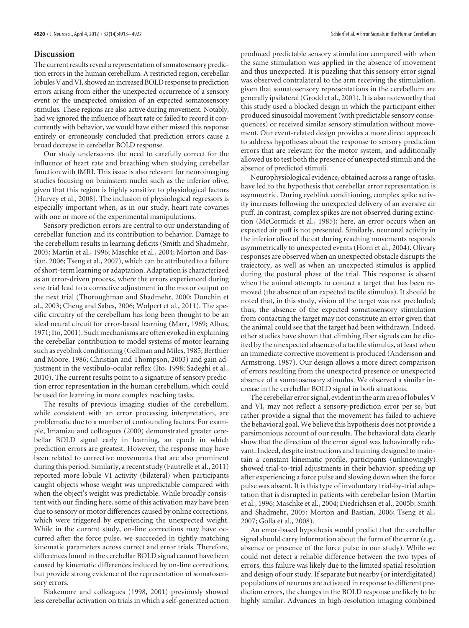# **Discussion**

The current results reveal a representation of somatosensory prediction errors in the human cerebellum. A restricted region, cerebellar lobules V and VI, showed an increased BOLD response to prediction errors arising from either the unexpected occurrence of a sensory event or the unexpected omission of an expected somatosensory stimulus. These regions are also active during movement. Notably, had we ignored the influence of heart rate or failed to record it concurrently with behavior, we would have either missed this response entirely or erroneously concluded that prediction errors cause a broad decrease in cerebellar BOLD response.

Our study underscores the need to carefully correct for the influence of heart rate and breathing when studying cerebellar function with fMRI. This issue is also relevant for neuroimaging studies focusing on brainstem nuclei such as the inferior olive, given that this region is highly sensitive to physiological factors (Harvey et al., 2008). The inclusion of physiological regressors is especially important when, as in our study, heart rate covaries with one or more of the experimental manipulations.

Sensory prediction errors are central to our understanding of cerebellar function and its contribution to behavior. Damage to the cerebellum results in learning deficits (Smith and Shadmehr, 2005; Martin et al., 1996; Maschke et al., 2004; Morton and Bastian, 2006; Tseng et al., 2007), which can be attributed to a failure of short-term learning or adaptation. Adaptation is characterized as an error-driven process, where the errors experienced during one trial lead to a corrective adjustment in the motor output on the next trial (Thoroughman and Shadmehr, 2000; Donchin et al., 2003; Cheng and Sabes, 2006; Wolpert et al., 2011). The specific circuitry of the cerebellum has long been thought to be an ideal neural circuit for error-based learning (Marr, 1969; Albus, 1971; Ito, 2001). Such mechanisms are often evoked in explaining the cerebellar contribution to model systems of motor learning such as eyeblink conditioning (Gellman and Miles, 1985; Berthier and Moore, 1986; Christian and Thompson, 2003) and gain adjustment in the vestibulo-ocular reflex (Ito, 1998; Sadeghi et al., 2010). The current results point to a signature of sensory prediction error representation in the human cerebellum, which could be used for learning in more complex reaching tasks.

The results of previous imaging studies of the cerebellum, while consistent with an error processing interpretation, are problematic due to a number of confounding factors. For example, Imamizu and colleagues (2000) demonstrated greater cerebellar BOLD signal early in learning, an epoch in which prediction errors are greatest. However, the response may have been related to corrective movements that are also prominent during this period. Similarly, a recent study (Fautrelle et al., 2011) reported more lobule VI activity (bilateral) when participants caught objects whose weight was unpredictable compared with when the object's weight was predictable. While broadly consistent with our finding here, some of this activation may have been due to sensory or motor differences caused by online corrections, which were triggered by experiencing the unexpected weight. While in the current study, on-line corrections may have occurred after the force pulse, we succeeded in tightly matching kinematic parameters across correct and error trials. Therefore, differences found in the cerebellar BOLD signal cannot have been caused by kinematic differences induced by on-line corrections, but provide strong evidence of the representation of somatosensory errors.

Blakemore and colleagues (1998, 2001) previously showed less cerebellar activation on trials in which a self-generated action produced predictable sensory stimulation compared with when the same stimulation was applied in the absence of movement and thus unexpected. It is puzzling that this sensory error signal was observed contralateral to the arm receiving the stimulation, given that somatosensory representations in the cerebellum are generally ipsilateral (Grodd et al., 2001). It is also noteworthy that this study used a blocked design in which the participant either produced sinusoidal movement (with predictable sensory consequences) or received similar sensory stimulation without movement. Our event-related design provides a more direct approach to address hypotheses about the response to sensory prediction errors that are relevant for the motor system, and additionally allowed us to test both the presence of unexpected stimuli and the absence of predicted stimuli.

Neurophysiological evidence, obtained across a range of tasks, have led to the hypothesis that cerebellar error representation is asymmetric. During eyeblink conditioning, complex spike activity increases following the unexpected delivery of an aversive air puff. In contrast, complex spikes are not observed during extinction (McCormick et al., 1985); here, an error occurs when an expected air puff is not presented. Similarly, neuronal activity in the inferior olive of the cat during reaching movements responds asymmetrically to unexpected events (Horn et al., 2004). Olivary responses are observed when an unexpected obstacle disrupts the trajectory, as well as when an unexpected stimulus is applied during the postural phase of the trial. This response is absent when the animal attempts to contact a target that has been removed (the absence of an expected tactile stimulus). It should be noted that, in this study, vision of the target was not precluded; thus, the absence of the expected somatosensory stimulation from contacting the target may not constitute an error given that the animal could see that the target had been withdrawn. Indeed, other studies have shown that climbing fiber signals can be elicited by the unexpected absence of a tactile stimulus, at least when an immediate corrective movement is produced (Andersson and Armstrong, 1987). Our design allows a more direct comparison of errors resulting from the unexpected presence or unexpected absence of a somatosensory stimulus. We observed a similar increase in the cerebellar BOLD signal in both situations.

The cerebellar error signal, evident in the arm area of lobules V and VI, may not reflect a sensory-prediction error per se, but rather provide a signal that the movement has failed to achieve the behavioral goal. We believe this hypothesis does not provide a parsimonious account of our results. The behavioral data clearly show that the direction of the error signal was behaviorally relevant. Indeed, despite instructions and training designed to maintain a constant kinematic profile, participants (unknowingly) showed trial-to-trial adjustments in their behavior, speeding up after experiencing a force pulse and slowing down when the force pulse was absent. It is this type of involuntary trial-by-trial adaptation that is disrupted in patients with cerebellar lesion (Martin et al., 1996; Maschke et al., 2004; Diedrichsen et al., 2005b; Smith and Shadmehr, 2005; Morton and Bastian, 2006; Tseng et al., 2007; Golla et al., 2008).

An error-based hypothesis would predict that the cerebellar signal should carry information about the form of the error (e.g., absence or presence of the force pulse in our study). While we could not detect a reliable difference between the two types of errors, this failure was likely due to the limited spatial resolution and design of our study. If separate but nearby (or interdigitated) populations of neurons are activated in response to different prediction errors, the changes in the BOLD response are likely to be highly similar. Advances in high-resolution imaging combined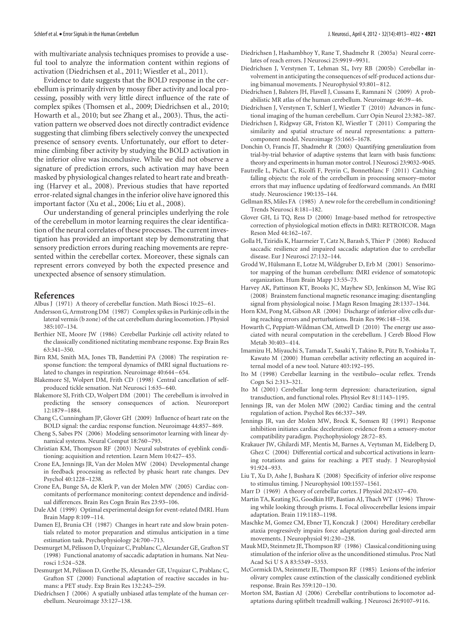with multivariate analysis techniques promises to provide a useful tool to analyze the information content within regions of activation (Diedrichsen et al., 2011; Wiestler et al., 2011).

Evidence to date suggests that the BOLD response in the cerebellum is primarily driven by mossy fiber activity and local processing, possibly with very little direct influence of the rate of complex spikes (Thomsen et al., 2009; Diedrichsen et al., 2010; Howarth et al., 2010; but see Zhang et al., 2003). Thus, the activation pattern we observed does not directly contradict evidence suggesting that climbing fibers selectively convey the unexpected presence of sensory events. Unfortunately, our effort to determine climbing fiber activity by studying the BOLD activation in the inferior olive was inconclusive. While we did not observe a signature of prediction errors, such activation may have been masked by physiological changes related to heart rate and breathing (Harvey et al., 2008). Previous studies that have reported error-related signal changes in the inferior olive have ignored this important factor (Xu et al., 2006; Liu et al., 2008).

Our understanding of general principles underlying the role of the cerebellum in motor learning requires the clear identification of the neural correlates of these processes. The current investigation has provided an important step by demonstrating that sensory prediction errors during reaching movements are represented within the cerebellar cortex. Moreover, these signals can represent errors conveyed by both the expected presence and unexpected absence of sensory stimulation.

#### **References**

- Albus J (1971) A theory of cerebellar function. Math Biosci 10:25-61.
- Andersson G, Armstrong DM (1987) Complex spikes in Purkinje cells in the lateral vermis (b zone) of the cat cerebellum during locomotion. J Physiol 385:107–134.
- Berthier NE, Moore JW (1986) Cerebellar Purkinje cell activity related to the classically conditioned nictitating membrane response. Exp Brain Res 63:341–350.
- Birn RM, Smith MA, Jones TB, Bandettini PA (2008) The respiration response function: the temporal dynamics of fMRI signal fluctuations related to changes in respiration. Neuroimage 40:644 – 654.
- Blakemore SJ, Wolpert DM, Frith CD (1998) Central cancellation of selfproduced tickle sensation. Nat Neurosci 1:635– 640.
- Blakemore SJ, Frith CD, Wolpert DM (2001) The cerebellum is involved in predicting the sensory consequences of action. Neuroreport 12:1879 –1884.
- Chang C, Cunningham JP, Glover GH (2009) Influence of heart rate on the BOLD signal: the cardiac response function. Neuroimage 44:857– 869.
- Cheng S, Sabes PN (2006) Modeling sensorimotor learning with linear dynamical systems. Neural Comput 18:760 –793.
- Christian KM, Thompson RF (2003) Neural substrates of eyeblink conditioning: acquisition and retention. Learn Mem 10:427– 455.
- Crone EA, Jennings JR, Van der Molen MW (2004) Developmental change in feedback processing as reflected by phasic heart rate changes. Dev Psychol 40:1228 –1238.
- Crone EA, Bunge SA, de Klerk P, van der Molen MW (2005) Cardiac concomitants of performance monitoring: context dependence and individual differences. Brain Res Cogn Brain Res 23:93–106.
- Dale AM (1999) Optimal experimental design for event-related fMRI. Hum Brain Mapp 8:109 –114.
- Damen EJ, Brunia CH (1987) Changes in heart rate and slow brain potentials related to motor preparation and stimulus anticipation in a time estimation task. Psychophysiology 24:700 –713.
- Desmurget M, Pélisson D, Urquizar C, Prablanc C, Alexander GE, Grafton ST (1998) Functional anatomy of saccadic adaptation in humans. Nat Neurosci 1:524 –528.
- Desmurget M, Pélisson D, Grethe JS, Alexander GE, Urquizar C, Prablanc C, Grafton ST (2000) Functional adaptation of reactive saccades in humans: a PET study. Exp Brain Res 132:243–259.
- Diedrichsen J (2006) A spatially unbiased atlas template of the human cerebellum. Neuroimage 33:127–138.
- Diedrichsen J, Hashambhoy Y, Rane T, Shadmehr R (2005a) Neural correlates of reach errors. J Neurosci 25:9919 –9931.
- Diedrichsen J, Verstynen T, Lehman SL, Ivry RB (2005b) Cerebellar involvement in anticipating the consequences of self-produced actions during bimanual movements. J Neurophysiol 93:801– 812.
- Diedrichsen J, Balsters JH, Flavell J, Cussans E, Ramnani N (2009) A probabilistic MR atlas of the human cerebellum. Neuroimage 46:39 – 46.
- Diedrichsen J, Verstynen T, Schlerf J, Wiestler T (2010) Advances in functional imaging of the human cerebellum. Curr Opin Neurol 23:382–387.
- Diedrichsen J, Ridgway GR, Friston KJ, Wiestler T (2011) Comparing the similarity and spatial structure of neural representations: a patterncomponent model. Neuroimage 55:1665–1678.
- Donchin O, Francis JT, Shadmehr R (2003) Quantifying generalization from trial-by-trial behavior of adaptive systems that learn with basis functions: theory and experiments in human motor control. J Neurosci 23:9032–9045.
- Fautrelle L, Pichat C, Ricolfi F, Peyrin C, Bonnetblanc F (2011) Catching falling objects: the role of the cerebellum in processing sensory–motor errors that may influence updating of feedforward commands. An fMRI study. Neuroscience 190:135–144.
- Gellman RS, Miles FA (1985) A new role for the cerebellum in conditioning? Trends Neurosci 8:181–182.
- Glover GH, Li TQ, Ress D (2000) Image-based method for retrospective correction of physiological motion effects in fMRI: RETROICOR. Magn Reson Med 44:162–167.
- Golla H, Tziridis K, Haarmeier T, Catz N, Barash S, Thier P (2008) Reduced saccadic resilience and impaired saccadic adaptation due to cerebellar disease. Eur J Neurosci 27:132–144.
- Grodd W, Hülsmann E, Lotze M, Wildgruber D, Erb M (2001) Sensorimotor mapping of the human cerebellum: fMRI evidence of somatotopic organization. Hum Brain Mapp 13:55–73.
- Harvey AK, Pattinson KT, Brooks JC, Mayhew SD, Jenkinson M, Wise RG (2008) Brainstem functional magnetic resonance imaging: disentangling signal from physiological noise. J Magn Reson Imaging 28:1337–1344.
- Horn KM, Pong M, Gibson AR (2004) Discharge of inferior olive cells during reaching errors and perturbations. Brain Res 996:148 –158.
- Howarth C, Peppiatt-Wildman CM, Attwell D (2010) The energy use associated with neural computation in the cerebellum. J Cereb Blood Flow Metab 30:403– 414.
- Imamizu H, Miyauchi S, Tamada T, Sasaki Y, Takino R, Pütz B, Yoshioka T, Kawato M (2000) Human cerebellar activity reflecting an acquired internal model of a new tool. Nature 403:192–195.
- Ito M (1998) Cerebellar learning in the vestibulo– ocular reflex. Trends Cogn Sci 2:313–321.
- Ito M (2001) Cerebellar long-term depression: characterization, signal transduction, and functional roles. Physiol Rev 81:1143–1195.
- Jennings JR, van der Molen MW (2002) Cardiac timing and the central regulation of action. Psychol Res 66:337–349.
- Jennings JR, van der Molen MW, Brock K, Somsen RJ (1991) Response inhibition initiates cardiac deceleration: evidence from a sensory-motor compatibility paradigm. Psychophysiology 28:72– 85.
- Krakauer JW, Ghilardi MF, Mentis M, Barnes A, Veytsman M, Eidelberg D, Ghez C (2004) Differential cortical and subcortical activations in learning rotations and gains for reaching: a PET study. J Neurophysiol 91:924 –933.
- Liu T, Xu D, Ashe J, Bushara K (2008) Specificity of inferior olive response to stimulus timing. J Neurophysiol 100:1557–1561.

Marr D (1969) A theory of cerebellar cortex. J Physiol 202:437– 470.

- Martin TA, Keating JG, Goodkin HP, Bastian AJ, Thach WT (1996) Throwing while looking through prisms. I. Focal olivocerebellar lesions impair adaptation. Brain 119:1183–1198.
- Maschke M, Gomez CM, Ebner TJ, Konczak J (2004) Hereditary cerebellar ataxia progressively impairs force adaptation during goal-directed arm movements. J Neurophysiol 91:230 –238.
- Mauk MD, Steinmetz JE, Thompson RF (1986) Classical conditioning using stimulation of the inferior olive as the unconditioned stimulus. Proc Natl Acad Sci U S A 83:5349 –5353.
- McCormick DA, Steinmetz JE, Thompson RF (1985) Lesions of the inferior olivary complex cause extinction of the classically conditioned eyeblink response. Brain Res 359:120 –130.
- Morton SM, Bastian AJ (2006) Cerebellar contributions to locomotor adaptations during splitbelt treadmill walking. J Neurosci 26:9107–9116.